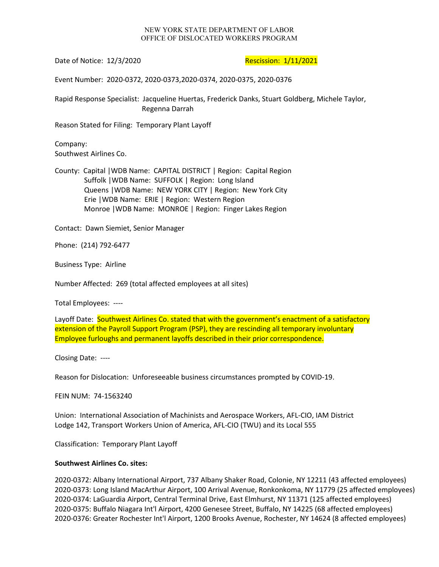## NEW YORK STATE DEPARTMENT OF LABOR OFFICE OF DISLOCATED WORKERS PROGRAM

Date of Notice: 12/3/2020 **Rescission: 1/11/2021** 

Event Number: 2020-0372, 2020-0373,2020-0374, 2020-0375, 2020-0376

Rapid Response Specialist: Jacqueline Huertas, Frederick Danks, Stuart Goldberg, Michele Taylor, Regenna Darrah

Reason Stated for Filing: Temporary Plant Layoff

Company: Southwest Airlines Co.

County: Capital |WDB Name: CAPITAL DISTRICT | Region: Capital Region Suffolk |WDB Name: SUFFOLK | Region: Long Island Queens |WDB Name: NEW YORK CITY | Region: New York City Erie |WDB Name: ERIE | Region: Western Region Monroe |WDB Name: MONROE | Region: Finger Lakes Region

Contact: Dawn Siemiet, Senior Manager

Phone: (214) 792-6477

Business Type: Airline

Number Affected: 269 (total affected employees at all sites)

Total Employees: ----

Layoff Date: Southwest Airlines Co. stated that with the government's enactment of a satisfactory extension of the Payroll Support Program (PSP), they are rescinding all temporary involuntary Employee furloughs and permanent layoffs described in their prior correspondence.

Closing Date: ----

Reason for Dislocation: Unforeseeable business circumstances prompted by COVID-19.

FEIN NUM: 74-1563240

Union: International Association of Machinists and Aerospace Workers, AFL-CIO, IAM District Lodge 142, Transport Workers Union of America, AFL-CIO (TWU) and its Local 555

Classification: Temporary Plant Layoff

## **Southwest Airlines Co. sites:**

2020-0372: Albany International Airport, 737 Albany Shaker Road, Colonie, NY 12211 (43 affected employees) 2020-0373: Long Island MacArthur Airport, 100 Arrival Avenue, Ronkonkoma, NY 11779 (25 affected employees) 2020-0374: LaGuardia Airport, Central Terminal Drive, East Elmhurst, NY 11371 (125 affected employees) 2020-0375: Buffalo Niagara Int'l Airport, 4200 Genesee Street, Buffalo, NY 14225 (68 affected employees) 2020-0376: Greater Rochester Int'l Airport, 1200 Brooks Avenue, Rochester, NY 14624 (8 affected employees)